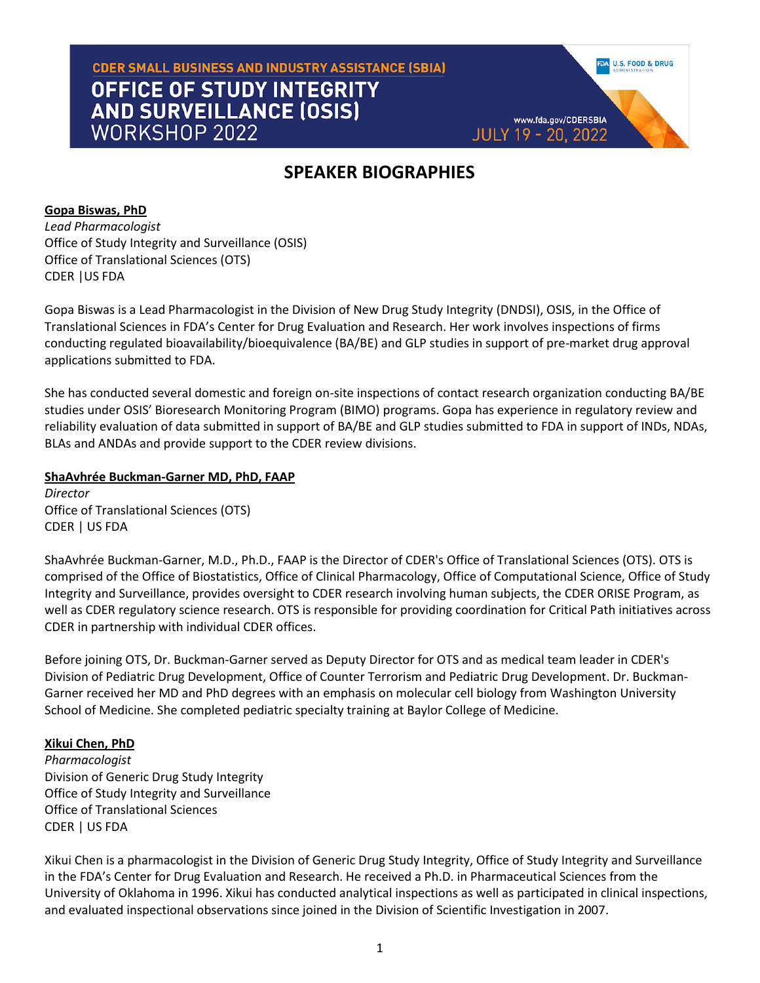# **CDER SMALL BUSINESS AND INDUSTRY ASSISTANCE (SBIA) OFFICE OF STUDY INTEGRITY AND SURVEILLANCE (OSIS) WORKSHOP 2022**

# **SPEAKER BIOGRAPHIES**

**U.S. FOOD & DRUG** 

www.fda.gov/CDERSBIA

**JULY 19 - 20, 2022** 

**Gopa Biswas, PhD** *Lead Pharmacologist* Office of Study Integrity and Surveillance (OSIS) Office of Translational Sciences (OTS) CDER |US FDA

Gopa Biswas is a Lead Pharmacologist in the Division of New Drug Study Integrity (DNDSI), OSIS, in the Office of Translational Sciences in FDA's Center for Drug Evaluation and Research. Her work involves inspections of firms conducting regulated bioavailability/bioequivalence (BA/BE) and GLP studies in support of pre-market drug approval applications submitted to FDA.

She has conducted several domestic and foreign on-site inspections of contact research organization conducting BA/BE studies under OSIS' Bioresearch Monitoring Program (BIMO) programs. Gopa has experience in regulatory review and reliability evaluation of data submitted in support of BA/BE and GLP studies submitted to FDA in support of INDs, NDAs, BLAs and ANDAs and provide support to the CDER review divisions.

## **ShaAvhrée Buckman-Garner MD, PhD, FAAP**

*Director*  Office of Translational Sciences (OTS) CDER | US FDA

ShaAvhrée Buckman-Garner, M.D., Ph.D., FAAP is the Director of CDER's Office of Translational Sciences (OTS). OTS is comprised of the Office of Biostatistics, Office of Clinical Pharmacology, Office of Computational Science, Office of Study Integrity and Surveillance, provides oversight to CDER research involving human subjects, the CDER ORISE Program, as well as CDER regulatory science research. OTS is responsible for providing coordination for Critical Path initiatives across CDER in partnership with individual CDER offices.

Before joining OTS, Dr. Buckman-Garner served as Deputy Director for OTS and as medical team leader in CDER's Division of Pediatric Drug Development, Office of Counter Terrorism and Pediatric Drug Development. Dr. Buckman-Garner received her MD and PhD degrees with an emphasis on molecular cell biology from Washington University School of Medicine. She completed pediatric specialty training at Baylor College of Medicine.

## **Xikui Chen, PhD**

*Pharmacologist* Division of Generic Drug Study Integrity Office of Study Integrity and Surveillance Office of Translational Sciences CDER | US FDA

Xikui Chen is a pharmacologist in the Division of Generic Drug Study Integrity, Office of Study Integrity and Surveillance in the FDA's Center for Drug Evaluation and Research. He received a Ph.D. in Pharmaceutical Sciences from the University of Oklahoma in 1996. Xikui has conducted analytical inspections as well as participated in clinical inspections, and evaluated inspectional observations since joined in the Division of Scientific Investigation in 2007.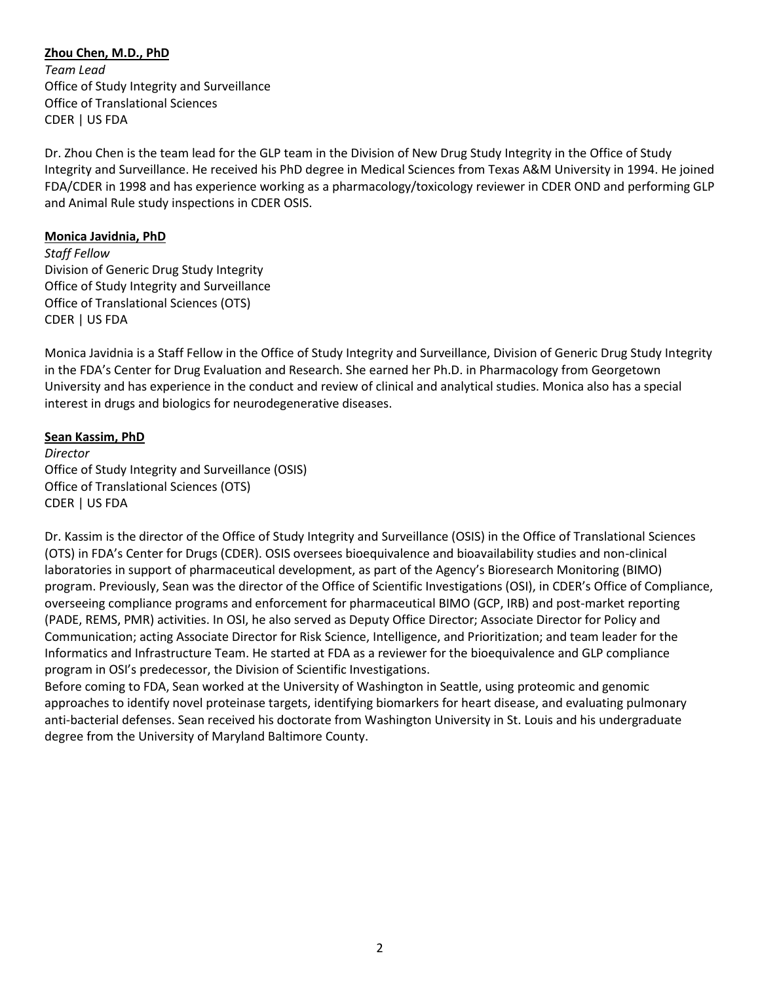**Zhou Chen, M.D., PhD** *Team Lead* Office of Study Integrity and Surveillance Office of Translational Sciences CDER | US FDA

Dr. Zhou Chen is the team lead for the GLP team in the Division of New Drug Study Integrity in the Office of Study Integrity and Surveillance. He received his PhD degree in Medical Sciences from Texas A&M University in 1994. He joined FDA/CDER in 1998 and has experience working as a pharmacology/toxicology reviewer in CDER OND and performing GLP and Animal Rule study inspections in CDER OSIS.

#### **Monica Javidnia, PhD**

*Staff Fellow* Division of Generic Drug Study Integrity Office of Study Integrity and Surveillance Office of Translational Sciences (OTS) CDER | US FDA

Monica Javidnia is a Staff Fellow in the Office of Study Integrity and Surveillance, Division of Generic Drug Study Integrity in the FDA's Center for Drug Evaluation and Research. She earned her Ph.D. in Pharmacology from Georgetown University and has experience in the conduct and review of clinical and analytical studies. Monica also has a special interest in drugs and biologics for neurodegenerative diseases.

### **Sean Kassim, PhD**

*Director* Office of Study Integrity and Surveillance (OSIS) Office of Translational Sciences (OTS) CDER | US FDA

Dr. Kassim is the director of the Office of Study Integrity and Surveillance (OSIS) in the Office of Translational Sciences (OTS) in FDA's Center for Drugs (CDER). OSIS oversees bioequivalence and bioavailability studies and non-clinical laboratories in support of pharmaceutical development, as part of the Agency's Bioresearch Monitoring (BIMO) program. Previously, Sean was the director of the Office of Scientific Investigations (OSI), in CDER's Office of Compliance, overseeing compliance programs and enforcement for pharmaceutical BIMO (GCP, IRB) and post-market reporting (PADE, REMS, PMR) activities. In OSI, he also served as Deputy Office Director; Associate Director for Policy and Communication; acting Associate Director for Risk Science, Intelligence, and Prioritization; and team leader for the Informatics and Infrastructure Team. He started at FDA as a reviewer for the bioequivalence and GLP compliance program in OSI's predecessor, the Division of Scientific Investigations.

Before coming to FDA, Sean worked at the University of Washington in Seattle, using proteomic and genomic approaches to identify novel proteinase targets, identifying biomarkers for heart disease, and evaluating pulmonary anti-bacterial defenses. Sean received his doctorate from Washington University in St. Louis and his undergraduate degree from the University of Maryland Baltimore County.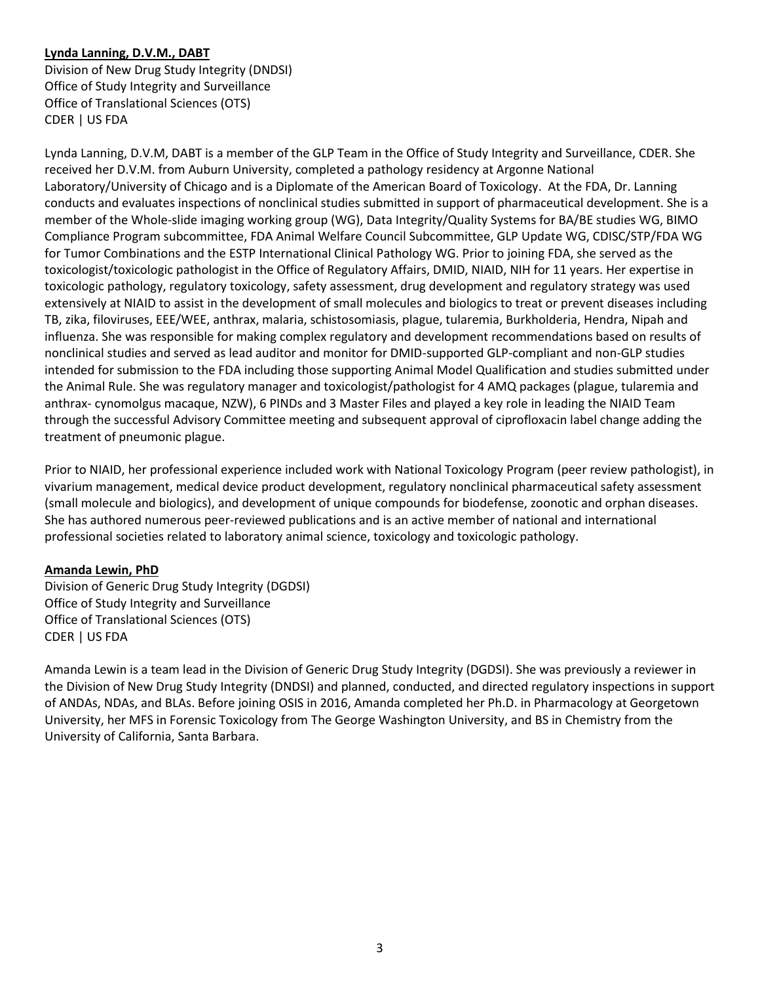## **Lynda Lanning, D.V.M., DABT**

Division of New Drug Study Integrity (DNDSI) Office of Study Integrity and Surveillance Office of Translational Sciences (OTS) CDER | US FDA

Lynda Lanning, D.V.M, DABT is a member of the GLP Team in the Office of Study Integrity and Surveillance, CDER. She received her D.V.M. from Auburn University, completed a pathology residency at Argonne National Laboratory/University of Chicago and is a Diplomate of the American Board of Toxicology. At the FDA, Dr. Lanning conducts and evaluates inspections of nonclinical studies submitted in support of pharmaceutical development. She is a member of the Whole-slide imaging working group (WG), Data Integrity/Quality Systems for BA/BE studies WG, BIMO Compliance Program subcommittee, FDA Animal Welfare Council Subcommittee, GLP Update WG, CDISC/STP/FDA WG for Tumor Combinations and the ESTP International Clinical Pathology WG. Prior to joining FDA, she served as the toxicologist/toxicologic pathologist in the Office of Regulatory Affairs, DMID, NIAID, NIH for 11 years. Her expertise in toxicologic pathology, regulatory toxicology, safety assessment, drug development and regulatory strategy was used extensively at NIAID to assist in the development of small molecules and biologics to treat or prevent diseases including TB, zika, filoviruses, EEE/WEE, anthrax, malaria, schistosomiasis, plague, tularemia, Burkholderia, Hendra, Nipah and influenza. She was responsible for making complex regulatory and development recommendations based on results of nonclinical studies and served as lead auditor and monitor for DMID-supported GLP-compliant and non-GLP studies intended for submission to the FDA including those supporting Animal Model Qualification and studies submitted under the Animal Rule. She was regulatory manager and toxicologist/pathologist for 4 AMQ packages (plague, tularemia and anthrax- cynomolgus macaque, NZW), 6 PINDs and 3 Master Files and played a key role in leading the NIAID Team through the successful Advisory Committee meeting and subsequent approval of ciprofloxacin label change adding the treatment of pneumonic plague.

Prior to NIAID, her professional experience included work with National Toxicology Program (peer review pathologist), in vivarium management, medical device product development, regulatory nonclinical pharmaceutical safety assessment (small molecule and biologics), and development of unique compounds for biodefense, zoonotic and orphan diseases. She has authored numerous peer-reviewed publications and is an active member of national and international professional societies related to laboratory animal science, toxicology and toxicologic pathology.

#### **Amanda Lewin, PhD**

Division of Generic Drug Study Integrity (DGDSI) Office of Study Integrity and Surveillance Office of Translational Sciences (OTS) CDER | US FDA

Amanda Lewin is a team lead in the Division of Generic Drug Study Integrity (DGDSI). She was previously a reviewer in the Division of New Drug Study Integrity (DNDSI) and planned, conducted, and directed regulatory inspections in support of ANDAs, NDAs, and BLAs. Before joining OSIS in 2016, Amanda completed her Ph.D. in Pharmacology at Georgetown University, her MFS in Forensic Toxicology from The George Washington University, and BS in Chemistry from the University of California, Santa Barbara.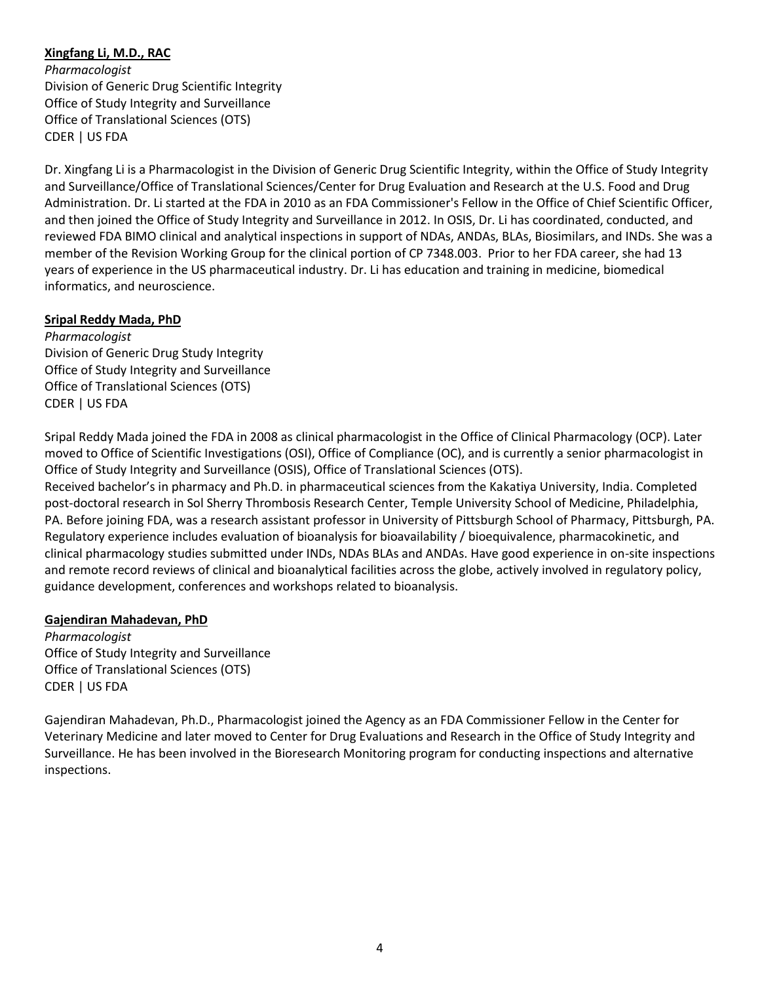## **Xingfang Li, M.D., RAC**

*Pharmacologist* Division of Generic Drug Scientific Integrity Office of Study Integrity and Surveillance Office of Translational Sciences (OTS) CDER | US FDA

Dr. Xingfang Li is a Pharmacologist in the Division of Generic Drug Scientific Integrity, within the Office of Study Integrity and Surveillance/Office of Translational Sciences/Center for Drug Evaluation and Research at the U.S. Food and Drug Administration. Dr. Li started at the FDA in 2010 as an FDA Commissioner's Fellow in the Office of Chief Scientific Officer, and then joined the Office of Study Integrity and Surveillance in 2012. In OSIS, Dr. Li has coordinated, conducted, and reviewed FDA BIMO clinical and analytical inspections in support of NDAs, ANDAs, BLAs, Biosimilars, and INDs. She was a member of the Revision Working Group for the clinical portion of CP 7348.003. Prior to her FDA career, she had 13 years of experience in the US pharmaceutical industry. Dr. Li has education and training in medicine, biomedical informatics, and neuroscience.

#### **Sripal Reddy Mada, PhD**

*Pharmacologist* Division of Generic Drug Study Integrity Office of Study Integrity and Surveillance Office of Translational Sciences (OTS) CDER | US FDA

Sripal Reddy Mada joined the FDA in 2008 as clinical pharmacologist in the Office of Clinical Pharmacology (OCP). Later moved to Office of Scientific Investigations (OSI), Office of Compliance (OC), and is currently a senior pharmacologist in Office of Study Integrity and Surveillance (OSIS), Office of Translational Sciences (OTS).

Received bachelor's in pharmacy and Ph.D. in pharmaceutical sciences from the Kakatiya University, India. Completed post-doctoral research in Sol Sherry Thrombosis Research Center, Temple University School of Medicine, Philadelphia, PA. Before joining FDA, was a research assistant professor in University of Pittsburgh School of Pharmacy, Pittsburgh, PA. Regulatory experience includes evaluation of bioanalysis for bioavailability / bioequivalence, pharmacokinetic, and clinical pharmacology studies submitted under INDs, NDAs BLAs and ANDAs. Have good experience in on-site inspections and remote record reviews of clinical and bioanalytical facilities across the globe, actively involved in regulatory policy, guidance development, conferences and workshops related to bioanalysis.

#### **Gajendiran Mahadevan, PhD**

*Pharmacologist* Office of Study Integrity and Surveillance Office of Translational Sciences (OTS) CDER | US FDA

Gajendiran Mahadevan, Ph.D., Pharmacologist joined the Agency as an FDA Commissioner Fellow in the Center for Veterinary Medicine and later moved to Center for Drug Evaluations and Research in the Office of Study Integrity and Surveillance. He has been involved in the Bioresearch Monitoring program for conducting inspections and alternative inspections.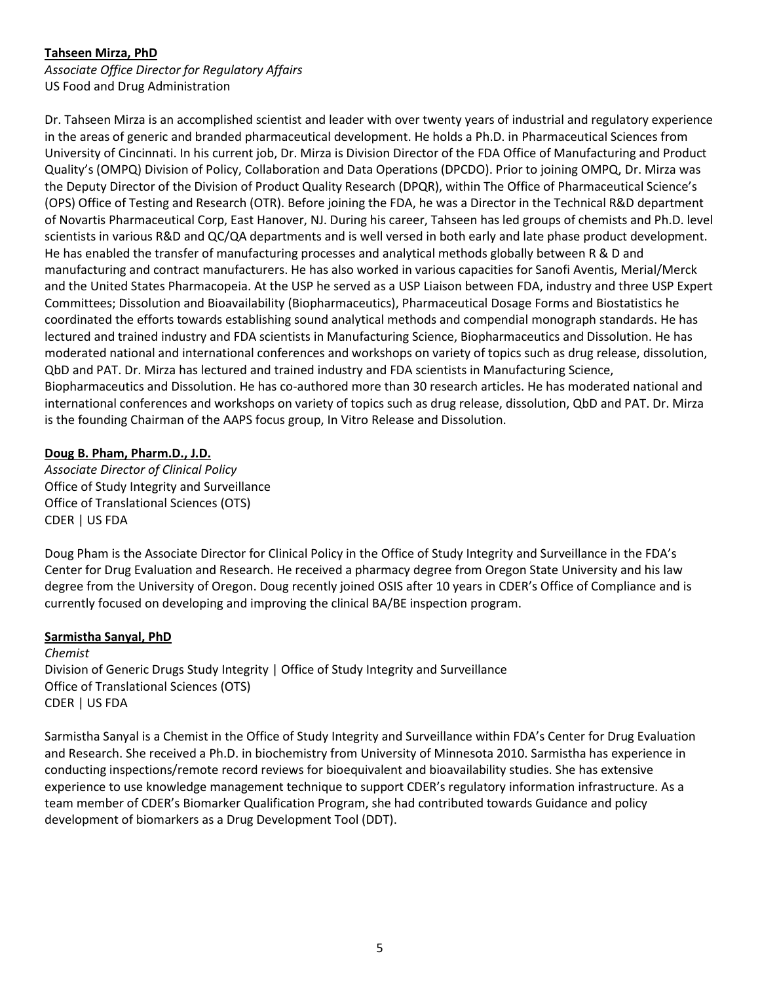## **Tahseen Mirza, PhD**

*Associate Office Director for Regulatory Affairs* US Food and Drug Administration

Dr. Tahseen Mirza is an accomplished scientist and leader with over twenty years of industrial and regulatory experience in the areas of generic and branded pharmaceutical development. He holds a Ph.D. in Pharmaceutical Sciences from University of Cincinnati. In his current job, Dr. Mirza is Division Director of the FDA Office of Manufacturing and Product Quality's (OMPQ) Division of Policy, Collaboration and Data Operations (DPCDO). Prior to joining OMPQ, Dr. Mirza was the Deputy Director of the Division of Product Quality Research (DPQR), within The Office of Pharmaceutical Science's (OPS) Office of Testing and Research (OTR). Before joining the FDA, he was a Director in the Technical R&D department of Novartis Pharmaceutical Corp, East Hanover, NJ. During his career, Tahseen has led groups of chemists and Ph.D. level scientists in various R&D and QC/QA departments and is well versed in both early and late phase product development. He has enabled the transfer of manufacturing processes and analytical methods globally between R & D and manufacturing and contract manufacturers. He has also worked in various capacities for Sanofi Aventis, Merial/Merck and the United States Pharmacopeia. At the USP he served as a USP Liaison between FDA, industry and three USP Expert Committees; Dissolution and Bioavailability (Biopharmaceutics), Pharmaceutical Dosage Forms and Biostatistics he coordinated the efforts towards establishing sound analytical methods and compendial monograph standards. He has lectured and trained industry and FDA scientists in Manufacturing Science, Biopharmaceutics and Dissolution. He has moderated national and international conferences and workshops on variety of topics such as drug release, dissolution, QbD and PAT. Dr. Mirza has lectured and trained industry and FDA scientists in Manufacturing Science, Biopharmaceutics and Dissolution. He has co-authored more than 30 research articles. He has moderated national and international conferences and workshops on variety of topics such as drug release, dissolution, QbD and PAT. Dr. Mirza is the founding Chairman of the AAPS focus group, In Vitro Release and Dissolution.

### **Doug B. Pham, Pharm.D., J.D.**

*Associate Director of Clinical Policy* Office of Study Integrity and Surveillance Office of Translational Sciences (OTS) CDER | US FDA

Doug Pham is the Associate Director for Clinical Policy in the Office of Study Integrity and Surveillance in the FDA's Center for Drug Evaluation and Research. He received a pharmacy degree from Oregon State University and his law degree from the University of Oregon. Doug recently joined OSIS after 10 years in CDER's Office of Compliance and is currently focused on developing and improving the clinical BA/BE inspection program.

## **Sarmistha Sanyal, PhD**

*Chemist* Division of Generic Drugs Study Integrity | Office of Study Integrity and Surveillance Office of Translational Sciences (OTS) CDER | US FDA

Sarmistha Sanyal is a Chemist in the Office of Study Integrity and Surveillance within FDA's Center for Drug Evaluation and Research. She received a Ph.D. in biochemistry from University of Minnesota 2010. Sarmistha has experience in conducting inspections/remote record reviews for bioequivalent and bioavailability studies. She has extensive experience to use knowledge management technique to support CDER's regulatory information infrastructure. As a team member of CDER's Biomarker Qualification Program, she had contributed towards Guidance and policy development of biomarkers as a Drug Development Tool (DDT).